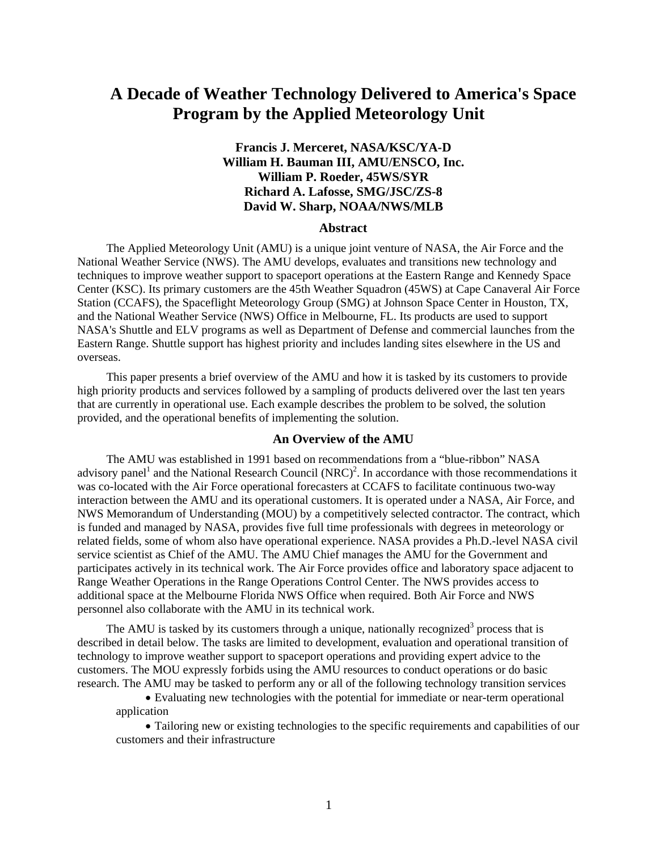# **A Decade of Weather Technology Delivered to America's Space Program by the Applied Meteorology Unit**

## **Francis J. Merceret, NASA/KSC/YA-D William H. Bauman III, AMU/ENSCO, Inc. William P. Roeder, 45WS/SYR Richard A. Lafosse, SMG/JSC/ZS-8 David W. Sharp, NOAA/NWS/MLB**

## **Abstract**

The Applied Meteorology Unit (AMU) is a unique joint venture of NASA, the Air Force and the National Weather Service (NWS). The AMU develops, evaluates and transitions new technology and techniques to improve weather support to spaceport operations at the Eastern Range and Kennedy Space Center (KSC). Its primary customers are the 45th Weather Squadron (45WS) at Cape Canaveral Air Force Station (CCAFS), the Spaceflight Meteorology Group (SMG) at Johnson Space Center in Houston, TX, and the National Weather Service (NWS) Office in Melbourne, FL. Its products are used to support NASA's Shuttle and ELV programs as well as Department of Defense and commercial launches from the Eastern Range. Shuttle support has highest priority and includes landing sites elsewhere in the US and overseas.

This paper presents a brief overview of the AMU and how it is tasked by its customers to provide high priority products and services followed by a sampling of products delivered over the last ten years that are currently in operational use. Each example describes the problem to be solved, the solution provided, and the operational benefits of implementing the solution.

#### **An Overview of the AMU**

The AMU was established in 1991 based on recommendations from a "blue-ribbon" NASA advisory panel<sup>1</sup> and the National Research Council  $(NRC)^2$ . In accordance with those recommendations it was co-located with the Air Force operational forecasters at CCAFS to facilitate continuous two-way interaction between the AMU and its operational customers. It is operated under a NASA, Air Force, and NWS Memorandum of Understanding (MOU) by a competitively selected contractor. The contract, which is funded and managed by NASA, provides five full time professionals with degrees in meteorology or related fields, some of whom also have operational experience. NASA provides a Ph.D.-level NASA civil service scientist as Chief of the AMU. The AMU Chief manages the AMU for the Government and participates actively in its technical work. The Air Force provides office and laboratory space adjacent to Range Weather Operations in the Range Operations Control Center. The NWS provides access to additional space at the Melbourne Florida NWS Office when required. Both Air Force and NWS personnel also collaborate with the AMU in its technical work.

The AMU is tasked by its customers through a unique, nationally recognized<sup>3</sup> process that is described in detail below. The tasks are limited to development, evaluation and operational transition of technology to improve weather support to spaceport operations and providing expert advice to the customers. The MOU expressly forbids using the AMU resources to conduct operations or do basic research. The AMU may be tasked to perform any or all of the following technology transition services

• Evaluating new technologies with the potential for immediate or near-term operational application

• Tailoring new or existing technologies to the specific requirements and capabilities of our customers and their infrastructure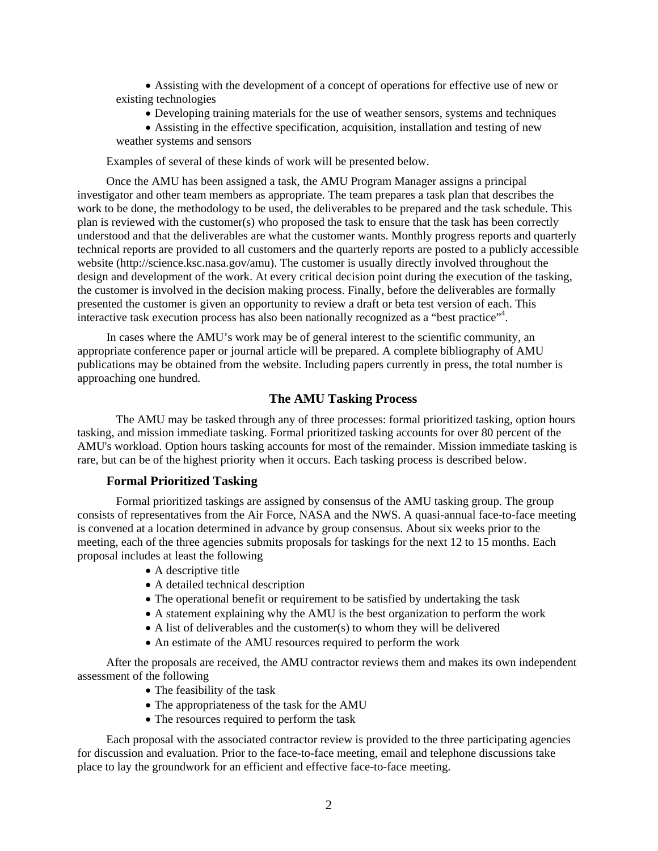• Assisting with the development of a concept of operations for effective use of new or existing technologies

- Developing training materials for the use of weather sensors, systems and techniques
- Assisting in the effective specification, acquisition, installation and testing of new weather systems and sensors

Examples of several of these kinds of work will be presented below.

Once the AMU has been assigned a task, the AMU Program Manager assigns a principal investigator and other team members as appropriate. The team prepares a task plan that describes the work to be done, the methodology to be used, the deliverables to be prepared and the task schedule. This plan is reviewed with the customer(s) who proposed the task to ensure that the task has been correctly understood and that the deliverables are what the customer wants. Monthly progress reports and quarterly technical reports are provided to all customers and the quarterly reports are posted to a publicly accessible website (http://science.ksc.nasa.gov/amu). The customer is usually directly involved throughout the design and development of the work. At every critical decision point during the execution of the tasking, the customer is involved in the decision making process. Finally, before the deliverables are formally presented the customer is given an opportunity to review a draft or beta test version of each. This interactive task execution process has also been nationally recognized as a "best practice"<sup>4</sup>.

In cases where the AMU's work may be of general interest to the scientific community, an appropriate conference paper or journal article will be prepared. A complete bibliography of AMU publications may be obtained from the website. Including papers currently in press, the total number is approaching one hundred.

## **The AMU Tasking Process**

The AMU may be tasked through any of three processes: formal prioritized tasking, option hours tasking, and mission immediate tasking. Formal prioritized tasking accounts for over 80 percent of the AMU's workload. Option hours tasking accounts for most of the remainder. Mission immediate tasking is rare, but can be of the highest priority when it occurs. Each tasking process is described below.

### **Formal Prioritized Tasking**

Formal prioritized taskings are assigned by consensus of the AMU tasking group. The group consists of representatives from the Air Force, NASA and the NWS. A quasi-annual face-to-face meeting is convened at a location determined in advance by group consensus. About six weeks prior to the meeting, each of the three agencies submits proposals for taskings for the next 12 to 15 months. Each proposal includes at least the following

- A descriptive title
- A detailed technical description
- The operational benefit or requirement to be satisfied by undertaking the task
- A statement explaining why the AMU is the best organization to perform the work
- A list of deliverables and the customer(s) to whom they will be delivered
- An estimate of the AMU resources required to perform the work

After the proposals are received, the AMU contractor reviews them and makes its own independent assessment of the following

- The feasibility of the task
- The appropriateness of the task for the AMU
- The resources required to perform the task

Each proposal with the associated contractor review is provided to the three participating agencies for discussion and evaluation. Prior to the face-to-face meeting, email and telephone discussions take place to lay the groundwork for an efficient and effective face-to-face meeting.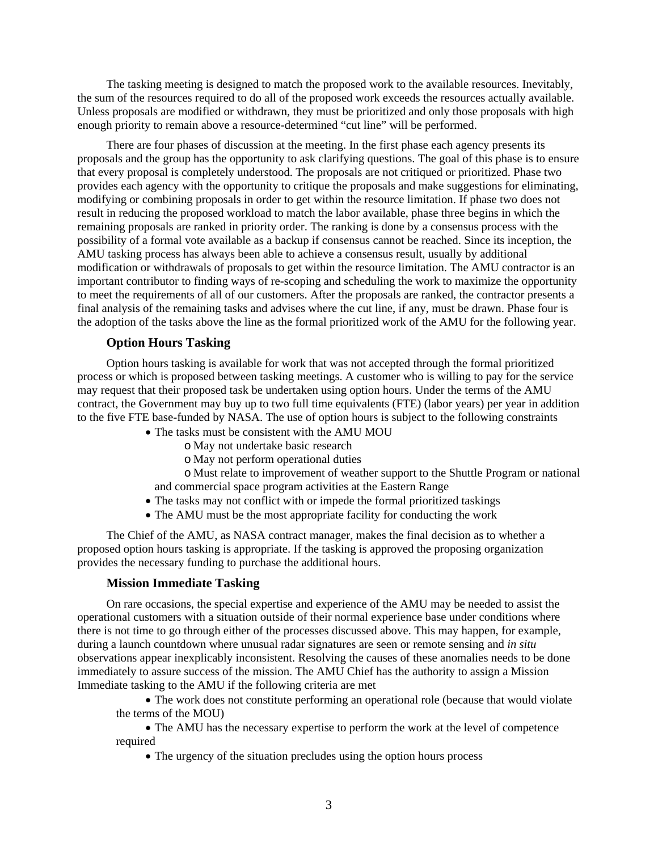The tasking meeting is designed to match the proposed work to the available resources. Inevitably, the sum of the resources required to do all of the proposed work exceeds the resources actually available. Unless proposals are modified or withdrawn, they must be prioritized and only those proposals with high enough priority to remain above a resource-determined "cut line" will be performed.

There are four phases of discussion at the meeting. In the first phase each agency presents its proposals and the group has the opportunity to ask clarifying questions. The goal of this phase is to ensure that every proposal is completely understood. The proposals are not critiqued or prioritized. Phase two provides each agency with the opportunity to critique the proposals and make suggestions for eliminating, modifying or combining proposals in order to get within the resource limitation. If phase two does not result in reducing the proposed workload to match the labor available, phase three begins in which the remaining proposals are ranked in priority order. The ranking is done by a consensus process with the possibility of a formal vote available as a backup if consensus cannot be reached. Since its inception, the AMU tasking process has always been able to achieve a consensus result, usually by additional modification or withdrawals of proposals to get within the resource limitation. The AMU contractor is an important contributor to finding ways of re-scoping and scheduling the work to maximize the opportunity to meet the requirements of all of our customers. After the proposals are ranked, the contractor presents a final analysis of the remaining tasks and advises where the cut line, if any, must be drawn. Phase four is the adoption of the tasks above the line as the formal prioritized work of the AMU for the following year.

## **Option Hours Tasking**

Option hours tasking is available for work that was not accepted through the formal prioritized process or which is proposed between tasking meetings. A customer who is willing to pay for the service may request that their proposed task be undertaken using option hours. Under the terms of the AMU contract, the Government may buy up to two full time equivalents (FTE) (labor years) per year in addition to the five FTE base-funded by NASA. The use of option hours is subject to the following constraints

- The tasks must be consistent with the AMU MOU
	- o May not undertake basic research
	- o May not perform operational duties

o Must relate to improvement of weather support to the Shuttle Program or national and commercial space program activities at the Eastern Range

- The tasks may not conflict with or impede the formal prioritized taskings
- The AMU must be the most appropriate facility for conducting the work

The Chief of the AMU, as NASA contract manager, makes the final decision as to whether a proposed option hours tasking is appropriate. If the tasking is approved the proposing organization provides the necessary funding to purchase the additional hours.

#### **Mission Immediate Tasking**

On rare occasions, the special expertise and experience of the AMU may be needed to assist the operational customers with a situation outside of their normal experience base under conditions where there is not time to go through either of the processes discussed above. This may happen, for example, during a launch countdown where unusual radar signatures are seen or remote sensing and *in situ* observations appear inexplicably inconsistent. Resolving the causes of these anomalies needs to be done immediately to assure success of the mission. The AMU Chief has the authority to assign a Mission Immediate tasking to the AMU if the following criteria are met

• The work does not constitute performing an operational role (because that would violate the terms of the MOU)

• The AMU has the necessary expertise to perform the work at the level of competence required

• The urgency of the situation precludes using the option hours process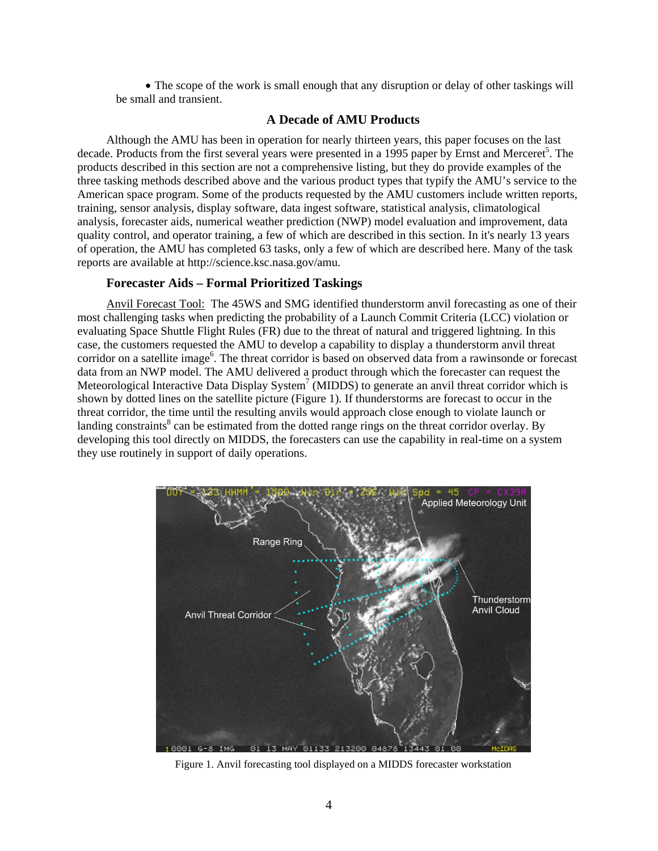• The scope of the work is small enough that any disruption or delay of other taskings will be small and transient.

#### **A Decade of AMU Products**

Although the AMU has been in operation for nearly thirteen years, this paper focuses on the last decade. Products from the first several years were presented in a 1995 paper by Ernst and Merceret<sup>5</sup>. The products described in this section are not a comprehensive listing, but they do provide examples of the three tasking methods described above and the various product types that typify the AMU's service to the American space program. Some of the products requested by the AMU customers include written reports, training, sensor analysis, display software, data ingest software, statistical analysis, climatological analysis, forecaster aids, numerical weather prediction (NWP) model evaluation and improvement, data quality control, and operator training, a few of which are described in this section. In it's nearly 13 years of operation, the AMU has completed 63 tasks, only a few of which are described here. Many of the task reports are available at http://science.ksc.nasa.gov/amu.

#### **Forecaster Aids – Formal Prioritized Taskings**

Anvil Forecast Tool: The 45WS and SMG identified thunderstorm anvil forecasting as one of their most challenging tasks when predicting the probability of a Launch Commit Criteria (LCC) violation or evaluating Space Shuttle Flight Rules (FR) due to the threat of natural and triggered lightning. In this case, the customers requested the AMU to develop a capability to display a thunderstorm anvil threat corridor on a satellite image<sup>6</sup>. The threat corridor is based on observed data from a rawinsonde or forecast data from an NWP model. The AMU delivered a product through which the forecaster can request the Meteorological Interactive Data Display System<sup>7</sup> (MIDDS) to generate an anvil threat corridor which is shown by dotted lines on the satellite picture ([Figure 1\)](#page-3-0). If thunderstorms are forecast to occur in the threat corridor, the time until the resulting anvils would approach close enough to violate launch or landing constraints<sup>8</sup> can be estimated from the dotted range rings on the threat corridor overlay. By developing this tool directly on MIDDS, the forecasters can use the capability in real-time on a system they use routinely in support of daily operations.

<span id="page-3-0"></span>

Figure 1. Anvil forecasting tool displayed on a MIDDS forecaster workstation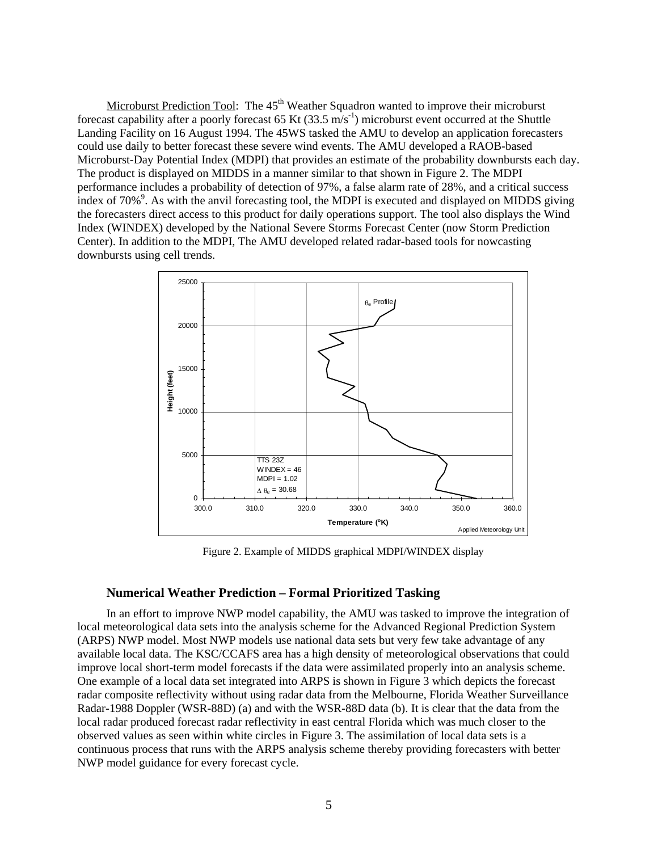Microburst Prediction Tool: The  $45<sup>th</sup>$  Weather Squadron wanted to improve their microburst forecast capability after a poorly forecast 65 Kt (33.5  $\text{m/s}^{-1}$ ) microburst event occurred at the Shuttle Landing Facility on 16 August 1994. The 45WS tasked the AMU to develop an application forecasters could use daily to better forecast these severe wind events. The AMU developed a RAOB-based Microburst-Day Potential Index (MDPI) that provides an estimate of the probability downbursts each day. The product is displayed on MIDDS in a manner similar to that shown in [Figure 2.](#page-4-0) The MDPI performance includes a probability of detection of 97%, a false alarm rate of 28%, and a critical success index of  $70\%$ <sup>9</sup>. As with the anvil forecasting tool, the MDPI is executed and displayed on MIDDS giving the forecasters direct access to this product for daily operations support. The tool also displays the Wind Index (WINDEX) developed by the National Severe Storms Forecast Center (now Storm Prediction Center). In addition to the MDPI, The AMU developed related radar-based tools for nowcasting downbursts using cell trends.

<span id="page-4-0"></span>

Figure 2. Example of MIDDS graphical MDPI/WINDEX display

## **Numerical Weather Prediction – Formal Prioritized Tasking**

In an effort to improve NWP model capability, the AMU was tasked to improve the integration of local meteorological data sets into the analysis scheme for the Advanced Regional Prediction System (ARPS) NWP model. Most NWP models use national data sets but very few take advantage of any available local data. The KSC/CCAFS area has a high density of meteorological observations that could improve local short-term model forecasts if the data were assimilated properly into an analysis scheme. One example of a local data set integrated into ARPS is shown in [Figure 3](#page-5-0) which depicts the forecast radar composite reflectivity without using radar data from the Melbourne, Florida Weather Surveillance Radar-1988 Doppler (WSR-88D) (a) and with the WSR-88D data (b). It is clear that the data from the local radar produced forecast radar reflectivity in east central Florida which was much closer to the observed values as seen within white circles in [Figure 3.](#page-5-0) The assimilation of local data sets is a continuous process that runs with the ARPS analysis scheme thereby providing forecasters with better NWP model guidance for every forecast cycle.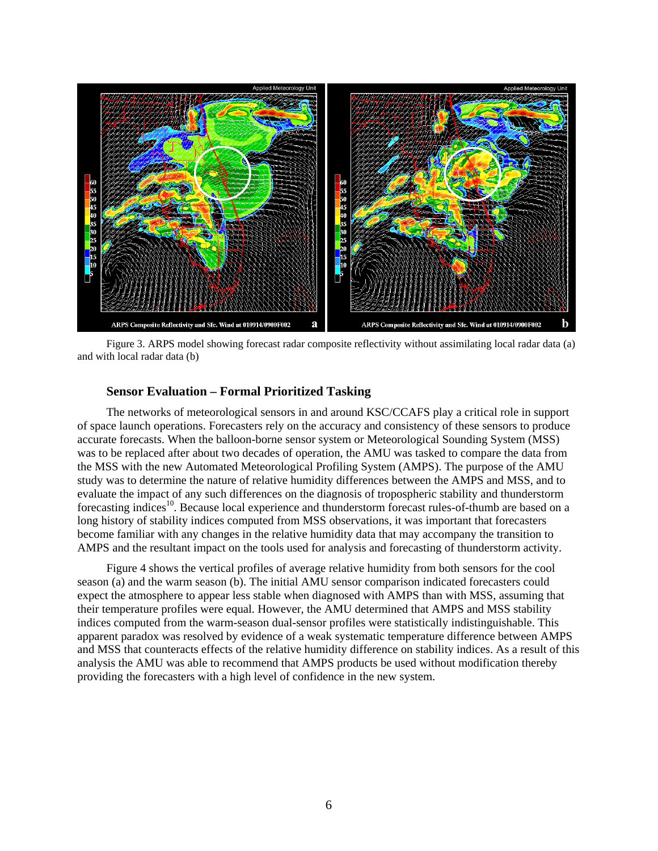<span id="page-5-0"></span>

Figure 3. ARPS model showing forecast radar composite reflectivity without assimilating local radar data (a) and with local radar data (b)

#### **Sensor Evaluation – Formal Prioritized Tasking**

The networks of meteorological sensors in and around KSC/CCAFS play a critical role in support of space launch operations. Forecasters rely on the accuracy and consistency of these sensors to produce accurate forecasts. When the balloon-borne sensor system or Meteorological Sounding System (MSS) was to be replaced after about two decades of operation, the AMU was tasked to compare the data from the MSS with the new Automated Meteorological Profiling System (AMPS). The purpose of the AMU study was to determine the nature of relative humidity differences between the AMPS and MSS, and to evaluate the impact of any such differences on the diagnosis of tropospheric stability and thunderstorm forecasting indices<sup>10</sup>. Because local experience and thunderstorm forecast rules-of-thumb are based on a long history of stability indices computed from MSS observations, it was important that forecasters become familiar with any changes in the relative humidity data that may accompany the transition to AMPS and the resultant impact on the tools used for analysis and forecasting of thunderstorm activity.

[Figure 4](#page-6-0) shows the vertical profiles of average relative humidity from both sensors for the cool season (a) and the warm season (b). The initial AMU sensor comparison indicated forecasters could expect the atmosphere to appear less stable when diagnosed with AMPS than with MSS, assuming that their temperature profiles were equal. However, the AMU determined that AMPS and MSS stability indices computed from the warm-season dual-sensor profiles were statistically indistinguishable. This apparent paradox was resolved by evidence of a weak systematic temperature difference between AMPS and MSS that counteracts effects of the relative humidity difference on stability indices. As a result of this analysis the AMU was able to recommend that AMPS products be used without modification thereby providing the forecasters with a high level of confidence in the new system.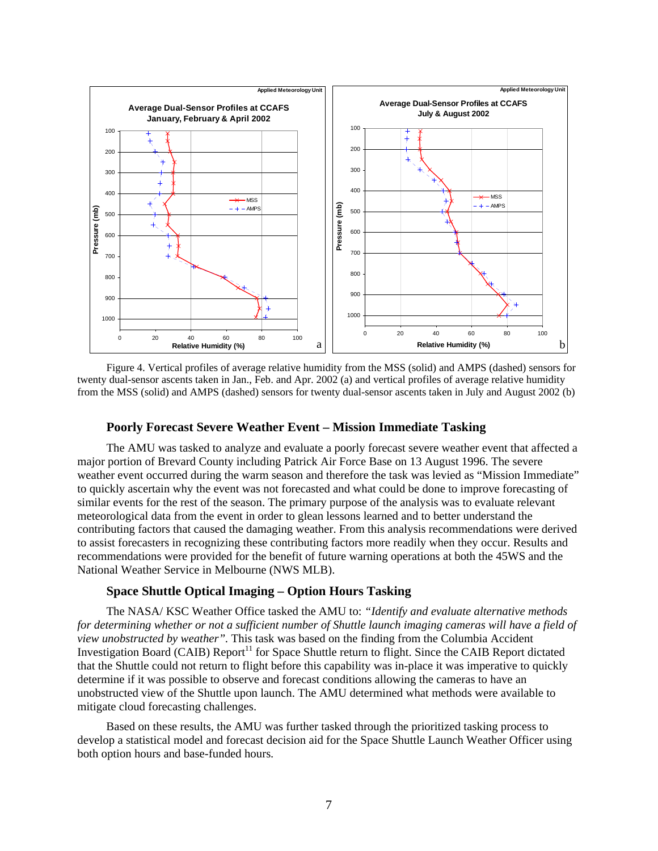<span id="page-6-0"></span>

Figure 4. Vertical profiles of average relative humidity from the MSS (solid) and AMPS (dashed) sensors for twenty dual-sensor ascents taken in Jan., Feb. and Apr. 2002 (a) and vertical profiles of average relative humidity from the MSS (solid) and AMPS (dashed) sensors for twenty dual-sensor ascents taken in July and August 2002 (b)

### **Poorly Forecast Severe Weather Event – Mission Immediate Tasking**

The AMU was tasked to analyze and evaluate a poorly forecast severe weather event that affected a major portion of Brevard County including Patrick Air Force Base on 13 August 1996. The severe weather event occurred during the warm season and therefore the task was levied as "Mission Immediate" to quickly ascertain why the event was not forecasted and what could be done to improve forecasting of similar events for the rest of the season. The primary purpose of the analysis was to evaluate relevant meteorological data from the event in order to glean lessons learned and to better understand the contributing factors that caused the damaging weather. From this analysis recommendations were derived to assist forecasters in recognizing these contributing factors more readily when they occur. Results and recommendations were provided for the benefit of future warning operations at both the 45WS and the National Weather Service in Melbourne (NWS MLB).

## **Space Shuttle Optical Imaging – Option Hours Tasking**

The NASA/ KSC Weather Office tasked the AMU to: *"Identify and evaluate alternative methods for determining whether or not a sufficient number of Shuttle launch imaging cameras will have a field of view unobstructed by weather".* This task was based on the finding from the Columbia Accident Investigation Board (CAIB) Report<sup>11</sup> for Space Shuttle return to flight. Since the CAIB Report dictated that the Shuttle could not return to flight before this capability was in-place it was imperative to quickly determine if it was possible to observe and forecast conditions allowing the cameras to have an unobstructed view of the Shuttle upon launch. The AMU determined what methods were available to mitigate cloud forecasting challenges.

Based on these results, the AMU was further tasked through the prioritized tasking process to develop a statistical model and forecast decision aid for the Space Shuttle Launch Weather Officer using both option hours and base-funded hours.